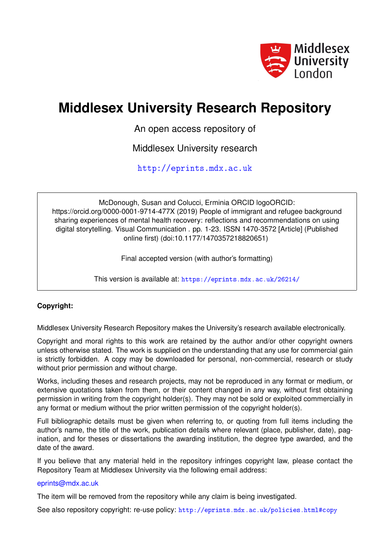

# **Middlesex University Research Repository**

An open access repository of

Middlesex University research

<http://eprints.mdx.ac.uk>

McDonough, Susan and Colucci, Erminia ORCID logoORCID: https://orcid.org/0000-0001-9714-477X (2019) People of immigrant and refugee background sharing experiences of mental health recovery: reflections and recommendations on using digital storytelling. Visual Communication . pp. 1-23. ISSN 1470-3572 [Article] (Published online first) (doi:10.1177/1470357218820651)

Final accepted version (with author's formatting)

This version is available at: <https://eprints.mdx.ac.uk/26214/>

# **Copyright:**

Middlesex University Research Repository makes the University's research available electronically.

Copyright and moral rights to this work are retained by the author and/or other copyright owners unless otherwise stated. The work is supplied on the understanding that any use for commercial gain is strictly forbidden. A copy may be downloaded for personal, non-commercial, research or study without prior permission and without charge.

Works, including theses and research projects, may not be reproduced in any format or medium, or extensive quotations taken from them, or their content changed in any way, without first obtaining permission in writing from the copyright holder(s). They may not be sold or exploited commercially in any format or medium without the prior written permission of the copyright holder(s).

Full bibliographic details must be given when referring to, or quoting from full items including the author's name, the title of the work, publication details where relevant (place, publisher, date), pagination, and for theses or dissertations the awarding institution, the degree type awarded, and the date of the award.

If you believe that any material held in the repository infringes copyright law, please contact the Repository Team at Middlesex University via the following email address:

## [eprints@mdx.ac.uk](mailto:eprints@mdx.ac.uk)

The item will be removed from the repository while any claim is being investigated.

See also repository copyright: re-use policy: <http://eprints.mdx.ac.uk/policies.html#copy>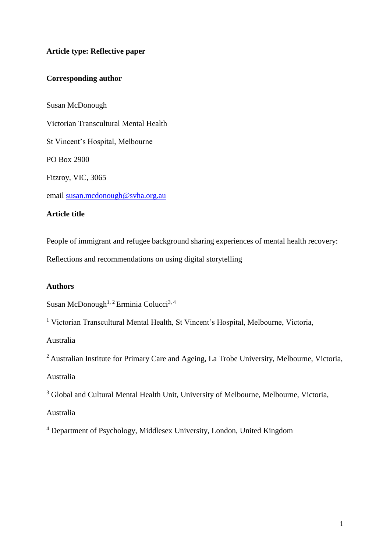# **Article type: Reflective paper**

# **Corresponding author**

Susan McDonough Victorian Transcultural Mental Health St Vincent's Hospital, Melbourne PO Box 2900 Fitzroy, VIC, 3065 email [susan.mcdonough@svha.org.au](mailto:susan.mcdonough@svha.org.au) **Article title**

People of immigrant and refugee background sharing experiences of mental health recovery:

Reflections and recommendations on using digital storytelling

## **Authors**

Susan McDonough<sup>1, 2</sup> Erminia Colucci<sup>3, 4</sup>

<sup>1</sup> Victorian Transcultural Mental Health, St Vincent's Hospital, Melbourne, Victoria,

Australia

<sup>2</sup> Australian Institute for Primary Care and Ageing, La Trobe University, Melbourne, Victoria,

Australia

<sup>3</sup> Global and Cultural Mental Health Unit, University of Melbourne, Melbourne, Victoria,

Australia

<sup>4</sup> Department of Psychology, Middlesex University, London, United Kingdom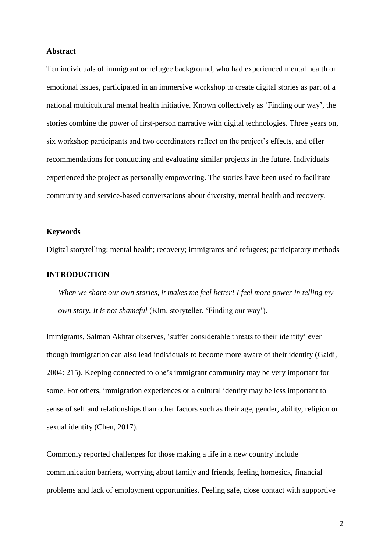## **Abstract**

Ten individuals of immigrant or refugee background, who had experienced mental health or emotional issues, participated in an immersive workshop to create digital stories as part of a national multicultural mental health initiative. Known collectively as 'Finding our way', the stories combine the power of first-person narrative with digital technologies. Three years on, six workshop participants and two coordinators reflect on the project's effects, and offer recommendations for conducting and evaluating similar projects in the future. Individuals experienced the project as personally empowering. The stories have been used to facilitate community and service-based conversations about diversity, mental health and recovery.

#### **Keywords**

Digital storytelling; mental health; recovery; immigrants and refugees; participatory methods

## **INTRODUCTION**

*When we share our own stories, it makes me feel better! I feel more power in telling my own story. It is not shameful* (Kim, storyteller, 'Finding our way').

Immigrants, Salman Akhtar observes, 'suffer considerable threats to their identity' even though immigration can also lead individuals to become more aware of their identity (Galdi, 2004: 215). Keeping connected to one's immigrant community may be very important for some. For others, immigration experiences or a cultural identity may be less important to sense of self and relationships than other factors such as their age, gender, ability, religion or sexual identity (Chen, 2017).

Commonly reported challenges for those making a life in a new country include communication barriers, worrying about family and friends, feeling homesick, financial problems and lack of employment opportunities. Feeling safe, close contact with supportive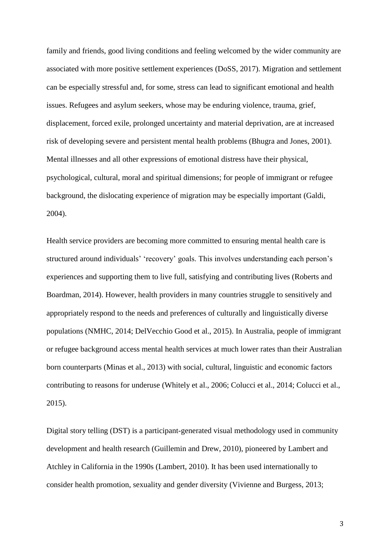family and friends, good living conditions and feeling welcomed by the wider community are associated with more positive settlement experiences (DoSS, 2017). Migration and settlement can be especially stressful and, for some, stress can lead to significant emotional and health issues. Refugees and asylum seekers, whose may be enduring violence, trauma, grief, displacement, forced exile, prolonged uncertainty and material deprivation, are at increased risk of developing severe and persistent mental health problems (Bhugra and Jones, 2001). Mental illnesses and all other expressions of emotional distress have their physical, psychological, cultural, moral and spiritual dimensions; for people of immigrant or refugee background, the dislocating experience of migration may be especially important (Galdi, 2004).

Health service providers are becoming more committed to ensuring mental health care is structured around individuals' 'recovery' goals. This involves understanding each person's experiences and supporting them to live full, satisfying and contributing lives (Roberts and Boardman, 2014). However, health providers in many countries struggle to sensitively and appropriately respond to the needs and preferences of culturally and linguistically diverse populations (NMHC, 2014; DelVecchio Good et al., 2015). In Australia, people of immigrant or refugee background access mental health services at much lower rates than their Australian born counterparts (Minas et al., 2013) with social, cultural, linguistic and economic factors contributing to reasons for underuse (Whitely et al., 2006; Colucci et al., 2014; Colucci et al., 2015).

Digital story telling (DST) is a participant-generated visual methodology used in community development and health research (Guillemin and Drew, 2010), pioneered by Lambert and Atchley in California in the 1990s (Lambert, 2010). It has been used internationally to consider health promotion, sexuality and gender diversity (Vivienne and Burgess, 2013;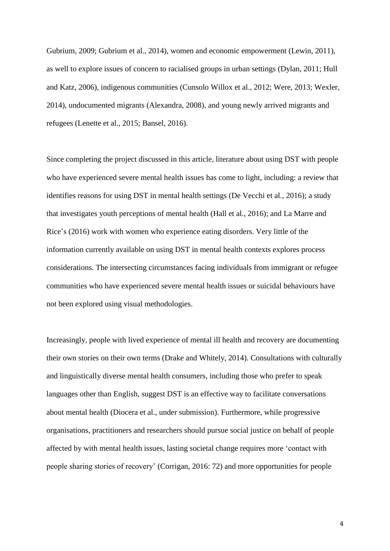Gubrium, 2009; Gubrium et al., 2014), women and economic empowerment (Lewin, 2011), as well to explore issues of concern to racialised groups in urban settings (Dylan, 2011; Hull and Katz, 2006), indigenous communities (Cunsolo Willox et al., 2012; Were, 2013; Wexler, 2014), undocumented migrants (Alexandra, 2008), and young newly arrived migrants and refugees (Lenette et al., 2015; Bansel, 2016).

Since completing the project discussed in this article, literature about using DST with people who have experienced severe mental health issues has come to light, including: a review that identifies reasons for using DST in mental health settings (De Vecchi et al., 2016); a study that investigates youth perceptions of mental health (Hall et al., 2016); and La Marre and Rice's (2016) work with women who experience eating disorders. Very little of the information currently available on using DST in mental health contexts explores process considerations. The intersecting circumstances facing individuals from immigrant or refugee communities who have experienced severe mental health issues or suicidal behaviours have not been explored using visual methodologies.

Increasingly, people with lived experience of mental ill health and recovery are documenting their own stories on their own terms (Drake and Whitely, 2014). Consultations with culturally and linguistically diverse mental health consumers, including those who prefer to speak languages other than English, suggest DST is an effective way to facilitate conversations about mental health (Diocera et al., under submission). Furthermore, while progressive organisations, practitioners and researchers should pursue social justice on behalf of people affected by with mental health issues, lasting societal change requires more 'contact with people sharing stories of recovery' (Corrigan, 2016: 72) and more opportunities for people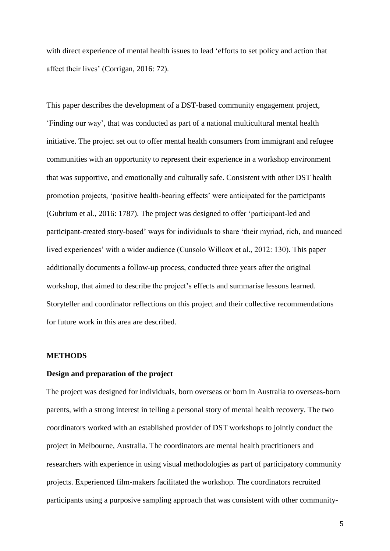with direct experience of mental health issues to lead 'efforts to set policy and action that affect their lives' (Corrigan, 2016: 72).

This paper describes the development of a DST-based community engagement project, 'Finding our way', that was conducted as part of a national multicultural mental health initiative. The project set out to offer mental health consumers from immigrant and refugee communities with an opportunity to represent their experience in a workshop environment that was supportive, and emotionally and culturally safe. Consistent with other DST health promotion projects, 'positive health-bearing effects' were anticipated for the participants (Gubrium et al., 2016: 1787). The project was designed to offer 'participant-led and participant-created story-based' ways for individuals to share 'their myriad, rich, and nuanced lived experiences' with a wider audience (Cunsolo Willcox et al., 2012: 130). This paper additionally documents a follow-up process, conducted three years after the original workshop, that aimed to describe the project's effects and summarise lessons learned. Storyteller and coordinator reflections on this project and their collective recommendations for future work in this area are described.

## **METHODS**

## **Design and preparation of the project**

The project was designed for individuals, born overseas or born in Australia to overseas-born parents, with a strong interest in telling a personal story of mental health recovery. The two coordinators worked with an established provider of DST workshops to jointly conduct the project in Melbourne, Australia. The coordinators are mental health practitioners and researchers with experience in using visual methodologies as part of participatory community projects. Experienced film-makers facilitated the workshop. The coordinators recruited participants using a purposive sampling approach that was consistent with other community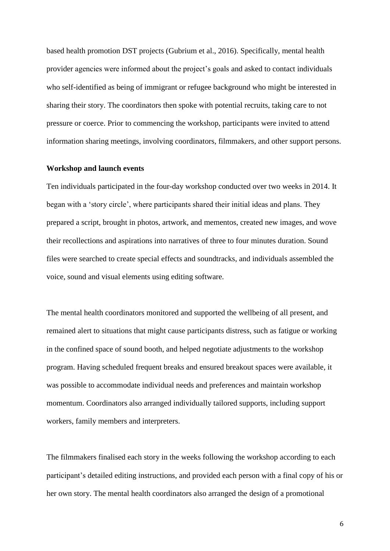based health promotion DST projects (Gubrium et al., 2016). Specifically, mental health provider agencies were informed about the project's goals and asked to contact individuals who self-identified as being of immigrant or refugee background who might be interested in sharing their story. The coordinators then spoke with potential recruits, taking care to not pressure or coerce. Prior to commencing the workshop, participants were invited to attend information sharing meetings, involving coordinators, filmmakers, and other support persons.

## **Workshop and launch events**

Ten individuals participated in the four-day workshop conducted over two weeks in 2014. It began with a 'story circle', where participants shared their initial ideas and plans. They prepared a script, brought in photos, artwork, and mementos, created new images, and wove their recollections and aspirations into narratives of three to four minutes duration. Sound files were searched to create special effects and soundtracks, and individuals assembled the voice, sound and visual elements using editing software.

The mental health coordinators monitored and supported the wellbeing of all present, and remained alert to situations that might cause participants distress, such as fatigue or working in the confined space of sound booth, and helped negotiate adjustments to the workshop program. Having scheduled frequent breaks and ensured breakout spaces were available, it was possible to accommodate individual needs and preferences and maintain workshop momentum. Coordinators also arranged individually tailored supports, including support workers, family members and interpreters.

The filmmakers finalised each story in the weeks following the workshop according to each participant's detailed editing instructions, and provided each person with a final copy of his or her own story. The mental health coordinators also arranged the design of a promotional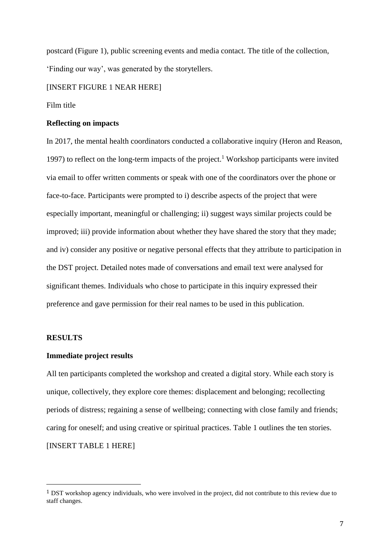postcard (Figure 1), public screening events and media contact. The title of the collection, 'Finding our way', was generated by the storytellers.

[INSERT FIGURE 1 NEAR HERE]

## Film title

## **Reflecting on impacts**

In 2017, the mental health coordinators conducted a collaborative inquiry (Heron and Reason, 1997) to reflect on the long-term impacts of the project.<sup>1</sup> Workshop participants were invited via email to offer written comments or speak with one of the coordinators over the phone or face-to-face. Participants were prompted to i) describe aspects of the project that were especially important, meaningful or challenging; ii) suggest ways similar projects could be improved; iii) provide information about whether they have shared the story that they made; and iv) consider any positive or negative personal effects that they attribute to participation in the DST project. Detailed notes made of conversations and email text were analysed for significant themes. Individuals who chose to participate in this inquiry expressed their preference and gave permission for their real names to be used in this publication.

#### **RESULTS**

 $\overline{a}$ 

#### **Immediate project results**

All ten participants completed the workshop and created a digital story. While each story is unique, collectively, they explore core themes: displacement and belonging; recollecting periods of distress; regaining a sense of wellbeing; connecting with close family and friends; caring for oneself; and using creative or spiritual practices. Table 1 outlines the ten stories. [INSERT TABLE 1 HERE]

<sup>1</sup> DST workshop agency individuals, who were involved in the project, did not contribute to this review due to staff changes.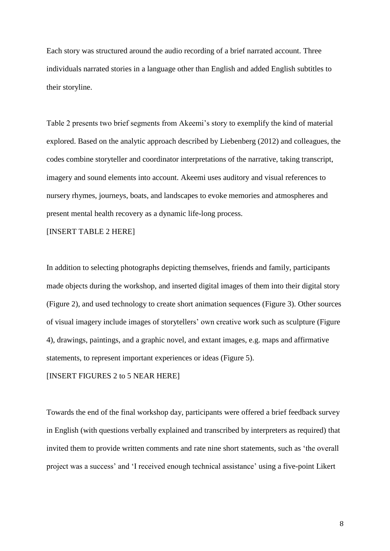Each story was structured around the audio recording of a brief narrated account. Three individuals narrated stories in a language other than English and added English subtitles to their storyline.

Table 2 presents two brief segments from Akeemi's story to exemplify the kind of material explored. Based on the analytic approach described by Liebenberg (2012) and colleagues, the codes combine storyteller and coordinator interpretations of the narrative, taking transcript, imagery and sound elements into account. Akeemi uses auditory and visual references to nursery rhymes, journeys, boats, and landscapes to evoke memories and atmospheres and present mental health recovery as a dynamic life-long process.

[INSERT TABLE 2 HERE]

In addition to selecting photographs depicting themselves, friends and family, participants made objects during the workshop, and inserted digital images of them into their digital story (Figure 2), and used technology to create short animation sequences (Figure 3). Other sources of visual imagery include images of storytellers' own creative work such as sculpture (Figure 4), drawings, paintings, and a graphic novel, and extant images, e.g. maps and affirmative statements, to represent important experiences or ideas (Figure 5).

[INSERT FIGURES 2 to 5 NEAR HERE]

Towards the end of the final workshop day, participants were offered a brief feedback survey in English (with questions verbally explained and transcribed by interpreters as required) that invited them to provide written comments and rate nine short statements, such as 'the overall project was a success' and 'I received enough technical assistance' using a five-point Likert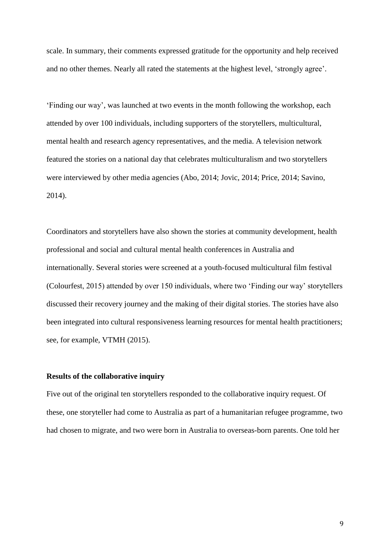scale. In summary, their comments expressed gratitude for the opportunity and help received and no other themes. Nearly all rated the statements at the highest level, 'strongly agree'.

'Finding our way', was launched at two events in the month following the workshop, each attended by over 100 individuals, including supporters of the storytellers, multicultural, mental health and research agency representatives, and the media. A television network featured the stories on a national day that celebrates multiculturalism and two storytellers were interviewed by other media agencies (Abo, 2014; Jovic, 2014; Price, 2014; Savino, 2014).

Coordinators and storytellers have also shown the stories at community development, health professional and social and cultural mental health conferences in Australia and internationally. Several stories were screened at a youth-focused multicultural film festival (Colourfest, 2015) attended by over 150 individuals, where two 'Finding our way' storytellers discussed their recovery journey and the making of their digital stories. The stories have also been integrated into cultural responsiveness learning resources for mental health practitioners; see, for example, VTMH (2015).

## **Results of the collaborative inquiry**

Five out of the original ten storytellers responded to the collaborative inquiry request. Of these, one storyteller had come to Australia as part of a humanitarian refugee programme, two had chosen to migrate, and two were born in Australia to overseas-born parents. One told her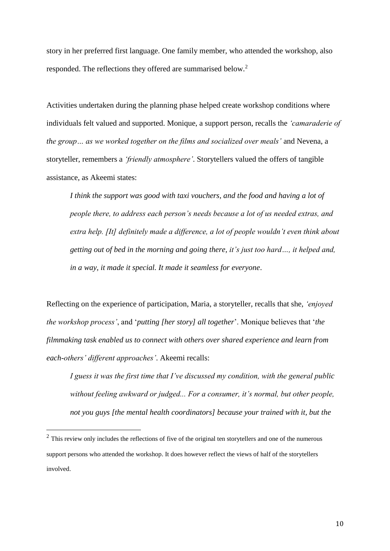story in her preferred first language. One family member, who attended the workshop, also responded. The reflections they offered are summarised below.<sup>2</sup>

Activities undertaken during the planning phase helped create workshop conditions where individuals felt valued and supported. Monique, a support person, recalls the *'camaraderie of the group… as we worked together on the films and socialized over meals'* and Nevena, a storyteller, remembers a *'friendly atmosphere'*. Storytellers valued the offers of tangible assistance, as Akeemi states:

*I think the support was good with taxi vouchers, and the food and having a lot of people there, to address each person's needs because a lot of us needed extras, and extra help. [It] definitely made a difference, a lot of people wouldn't even think about getting out of bed in the morning and going there, it's just too hard…, it helped and, in a way, it made it special. It made it seamless for everyone*.

Reflecting on the experience of participation, Maria, a storyteller, recalls that she, *'enjoyed the workshop process'*, and '*putting [her story] all together*'. Monique believes that '*the filmmaking task enabled us to connect with others over shared experience and learn from each-others' different approaches'*. Akeemi recalls:

*I guess it was the first time that I've discussed my condition, with the general public without feeling awkward or judged... For a consumer, it's normal, but other people, not you guys [the mental health coordinators] because your trained with it, but the* 

 $\overline{a}$ 

 $2$  This review only includes the reflections of five of the original ten storytellers and one of the numerous support persons who attended the workshop. It does however reflect the views of half of the storytellers involved.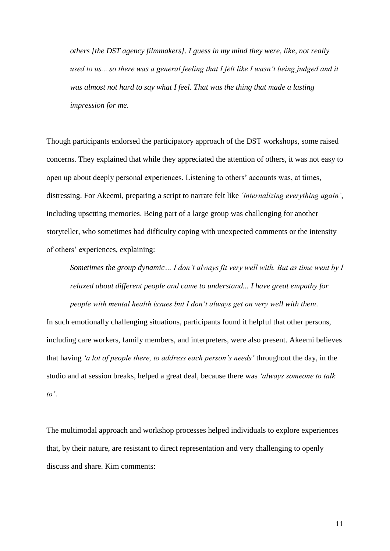*others [the DST agency filmmakers]. I guess in my mind they were, like, not really*  used to us... so there was a general feeling that I felt like I wasn't being judged and it *was almost not hard to say what I feel. That was the thing that made a lasting impression for me.*

Though participants endorsed the participatory approach of the DST workshops, some raised concerns. They explained that while they appreciated the attention of others, it was not easy to open up about deeply personal experiences. Listening to others' accounts was, at times, distressing. For Akeemi, preparing a script to narrate felt like *'internalizing everything again'*, including upsetting memories. Being part of a large group was challenging for another storyteller, who sometimes had difficulty coping with unexpected comments or the intensity of others' experiences, explaining:

*Sometimes the group dynamic… I don't always fit very well with. But as time went by I relaxed about different people and came to understand... I have great empathy for* 

*people with mental health issues but I don't always get on very well with them*. In such emotionally challenging situations, participants found it helpful that other persons, including care workers, family members, and interpreters, were also present. Akeemi believes that having *'a lot of people there, to address each person's needs'* throughout the day, in the studio and at session breaks, helped a great deal, because there was *'always someone to talk to'*.

The multimodal approach and workshop processes helped individuals to explore experiences that, by their nature, are resistant to direct representation and very challenging to openly discuss and share. Kim comments: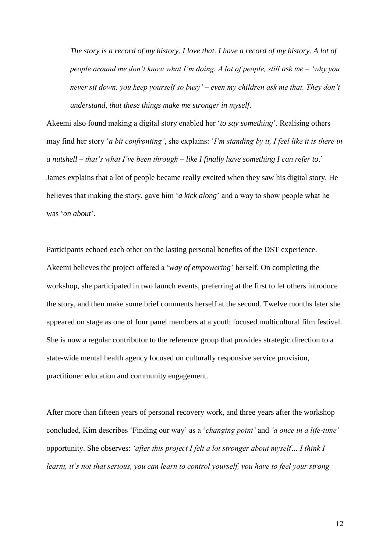*The story is a record of my history. I love that. I have a record of my history. A lot of people around me don't know what I'm doing. A lot of people, still ask me – 'why you never sit down, you keep yourself so busy' – even my children ask me that. They don't understand, that these things make me stronger in myself*.

Akeemi also found making a digital story enabled her '*to say something*'. Realising others may find her story '*a bit confronting'*, she explains: '*I'm standing by it, I feel like it is there in a nutshell – that's what I've been through – like I finally have something I can refer to*.' James explains that a lot of people became really excited when they saw his digital story. He believes that making the story, gave him '*a kick along*' and a way to show people what he was '*on about*'.

Participants echoed each other on the lasting personal benefits of the DST experience. Akeemi believes the project offered a '*way of empowering*' herself. On completing the workshop, she participated in two launch events, preferring at the first to let others introduce the story, and then make some brief comments herself at the second. Twelve months later she appeared on stage as one of four panel members at a youth focused multicultural film festival. She is now a regular contributor to the reference group that provides strategic direction to a state-wide mental health agency focused on culturally responsive service provision, practitioner education and community engagement.

After more than fifteen years of personal recovery work, and three years after the workshop concluded, Kim describes 'Finding our way' as a '*changing point'* and *'a once in a life-time'*  opportunity. She observes: *'after this project I felt a lot stronger about myself… I think I learnt, it's not that serious, you can learn to control yourself, you have to feel your strong*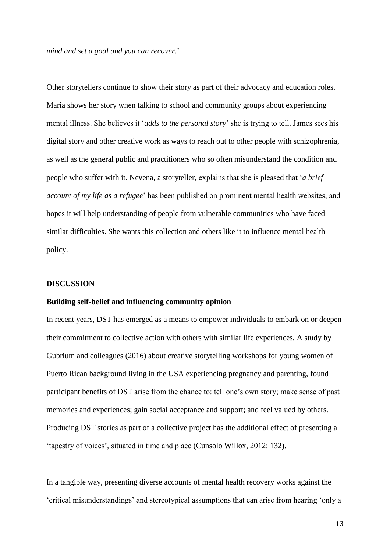*mind and set a goal and you can recover.*'

Other storytellers continue to show their story as part of their advocacy and education roles. Maria shows her story when talking to school and community groups about experiencing mental illness. She believes it '*adds to the personal story*' she is trying to tell. James sees his digital story and other creative work as ways to reach out to other people with schizophrenia, as well as the general public and practitioners who so often misunderstand the condition and people who suffer with it. Nevena, a storyteller, explains that she is pleased that '*a brief account of my life as a refugee*' has been published on prominent mental health websites, and hopes it will help understanding of people from vulnerable communities who have faced similar difficulties. She wants this collection and others like it to influence mental health policy.

## **DISCUSSION**

#### **Building self-belief and influencing community opinion**

In recent years, DST has emerged as a means to empower individuals to embark on or deepen their commitment to collective action with others with similar life experiences. A study by Gubrium and colleagues (2016) about creative storytelling workshops for young women of Puerto Rican background living in the USA experiencing pregnancy and parenting, found participant benefits of DST arise from the chance to: tell one's own story; make sense of past memories and experiences; gain social acceptance and support; and feel valued by others. Producing DST stories as part of a collective project has the additional effect of presenting a 'tapestry of voices', situated in time and place (Cunsolo Willox, 2012: 132).

In a tangible way, presenting diverse accounts of mental health recovery works against the 'critical misunderstandings' and stereotypical assumptions that can arise from hearing 'only a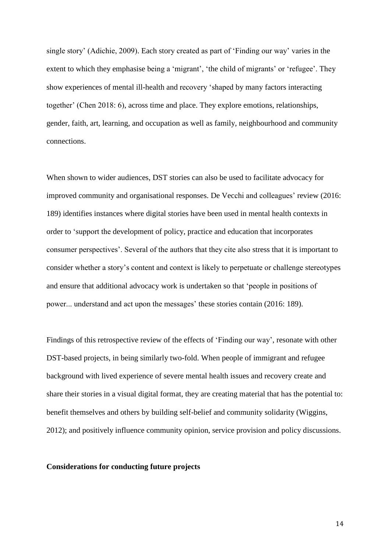single story' (Adichie, 2009). Each story created as part of 'Finding our way' varies in the extent to which they emphasise being a 'migrant', 'the child of migrants' or 'refugee'. They show experiences of mental ill-health and recovery 'shaped by many factors interacting together' (Chen 2018: 6), across time and place. They explore emotions, relationships, gender, faith, art, learning, and occupation as well as family, neighbourhood and community connections.

When shown to wider audiences, DST stories can also be used to facilitate advocacy for improved community and organisational responses. De Vecchi and colleagues' review (2016: 189) identifies instances where digital stories have been used in mental health contexts in order to 'support the development of policy, practice and education that incorporates consumer perspectives'. Several of the authors that they cite also stress that it is important to consider whether a story's content and context is likely to perpetuate or challenge stereotypes and ensure that additional advocacy work is undertaken so that 'people in positions of power... understand and act upon the messages' these stories contain (2016: 189).

Findings of this retrospective review of the effects of 'Finding our way', resonate with other DST-based projects, in being similarly two-fold. When people of immigrant and refugee background with lived experience of severe mental health issues and recovery create and share their stories in a visual digital format, they are creating material that has the potential to: benefit themselves and others by building self-belief and community solidarity (Wiggins, 2012); and positively influence community opinion, service provision and policy discussions.

## **Considerations for conducting future projects**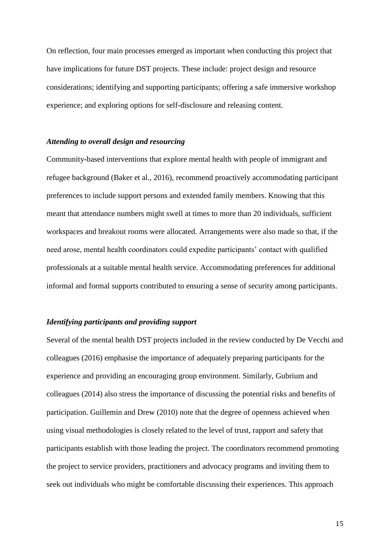On reflection, four main processes emerged as important when conducting this project that have implications for future DST projects. These include: project design and resource considerations; identifying and supporting participants; offering a safe immersive workshop experience; and exploring options for self-disclosure and releasing content.

## *Attending to overall design and resourcing*

Community-based interventions that explore mental health with people of immigrant and refugee background (Baker et al., 2016), recommend proactively accommodating participant preferences to include support persons and extended family members. Knowing that this meant that attendance numbers might swell at times to more than 20 individuals, sufficient workspaces and breakout rooms were allocated. Arrangements were also made so that, if the need arose, mental health coordinators could expedite participants' contact with qualified professionals at a suitable mental health service. Accommodating preferences for additional informal and formal supports contributed to ensuring a sense of security among participants.

## *Identifying participants and providing support*

Several of the mental health DST projects included in the review conducted by De Vecchi and colleagues (2016) emphasise the importance of adequately preparing participants for the experience and providing an encouraging group environment. Similarly, Gubrium and colleagues (2014) also stress the importance of discussing the potential risks and benefits of participation. Guillemin and Drew (2010) note that the degree of openness achieved when using visual methodologies is closely related to the level of trust, rapport and safety that participants establish with those leading the project. The coordinators recommend promoting the project to service providers, practitioners and advocacy programs and inviting them to seek out individuals who might be comfortable discussing their experiences. This approach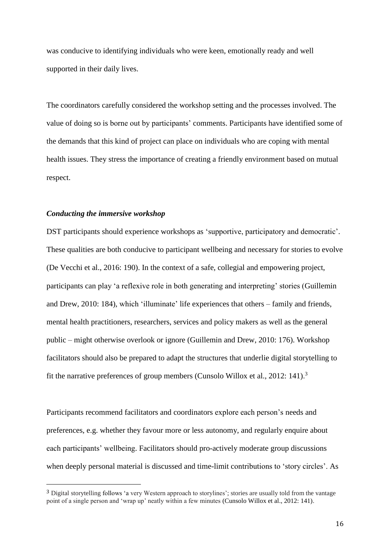was conducive to identifying individuals who were keen, emotionally ready and well supported in their daily lives.

The coordinators carefully considered the workshop setting and the processes involved. The value of doing so is borne out by participants' comments. Participants have identified some of the demands that this kind of project can place on individuals who are coping with mental health issues. They stress the importance of creating a friendly environment based on mutual respect.

## *Conducting the immersive workshop*

 $\overline{a}$ 

DST participants should experience workshops as 'supportive, participatory and democratic'. These qualities are both conducive to participant wellbeing and necessary for stories to evolve (De Vecchi et al., 2016: 190). In the context of a safe, collegial and empowering project, participants can play 'a reflexive role in both generating and interpreting' stories (Guillemin and Drew, 2010: 184), which 'illuminate' life experiences that others – family and friends, mental health practitioners, researchers, services and policy makers as well as the general public – might otherwise overlook or ignore (Guillemin and Drew, 2010: 176). Workshop facilitators should also be prepared to adapt the structures that underlie digital storytelling to fit the narrative preferences of group members (Cunsolo Willox et al., 2012: 141). 3

Participants recommend facilitators and coordinators explore each person's needs and preferences, e.g. whether they favour more or less autonomy, and regularly enquire about each participants' wellbeing. Facilitators should pro-actively moderate group discussions when deeply personal material is discussed and time-limit contributions to 'story circles'. As

<sup>3</sup> Digital storytelling follows 'a very Western approach to storylines'; stories are usually told from the vantage point of a single person and 'wrap up' neatly within a few minutes (Cunsolo Willox et al., 2012: 141).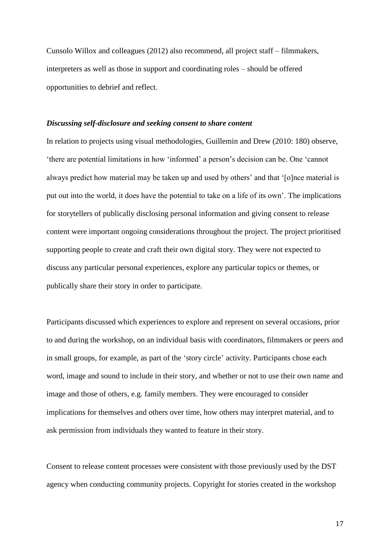Cunsolo Willox and colleagues (2012) also recommend, all project staff – filmmakers, interpreters as well as those in support and coordinating roles – should be offered opportunities to debrief and reflect.

#### *Discussing self-disclosure and seeking consent to share content*

In relation to projects using visual methodologies, Guillemin and Drew (2010: 180) observe, 'there are potential limitations in how 'informed' a person's decision can be. One 'cannot always predict how material may be taken up and used by others' and that '[o]nce material is put out into the world, it does have the potential to take on a life of its own'. The implications for storytellers of publically disclosing personal information and giving consent to release content were important ongoing considerations throughout the project. The project prioritised supporting people to create and craft their own digital story. They were not expected to discuss any particular personal experiences, explore any particular topics or themes, or publically share their story in order to participate.

Participants discussed which experiences to explore and represent on several occasions, prior to and during the workshop, on an individual basis with coordinators, filmmakers or peers and in small groups, for example, as part of the 'story circle' activity. Participants chose each word, image and sound to include in their story, and whether or not to use their own name and image and those of others, e.g. family members. They were encouraged to consider implications for themselves and others over time, how others may interpret material, and to ask permission from individuals they wanted to feature in their story.

Consent to release content processes were consistent with those previously used by the DST agency when conducting community projects. Copyright for stories created in the workshop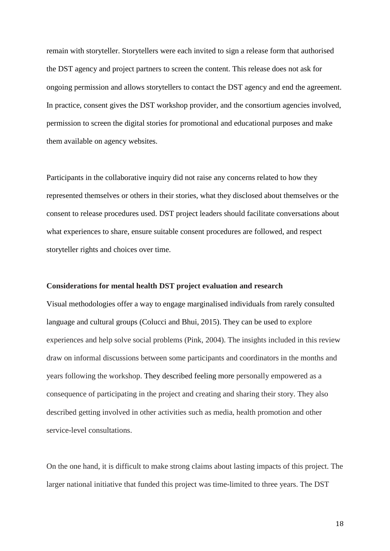remain with storyteller. Storytellers were each invited to sign a release form that authorised the DST agency and project partners to screen the content. This release does not ask for ongoing permission and allows storytellers to contact the DST agency and end the agreement. In practice, consent gives the DST workshop provider, and the consortium agencies involved, permission to screen the digital stories for promotional and educational purposes and make them available on agency websites.

Participants in the collaborative inquiry did not raise any concerns related to how they represented themselves or others in their stories, what they disclosed about themselves or the consent to release procedures used. DST project leaders should facilitate conversations about what experiences to share, ensure suitable consent procedures are followed, and respect storyteller rights and choices over time.

#### **Considerations for mental health DST project evaluation and research**

Visual methodologies offer a way to engage marginalised individuals from rarely consulted language and cultural groups (Colucci and Bhui, 2015). They can be used to explore experiences and help solve social problems (Pink, 2004). The insights included in this review draw on informal discussions between some participants and coordinators in the months and years following the workshop. They described feeling more personally empowered as a consequence of participating in the project and creating and sharing their story. They also described getting involved in other activities such as media, health promotion and other service-level consultations.

On the one hand, it is difficult to make strong claims about lasting impacts of this project. The larger national initiative that funded this project was time-limited to three years. The DST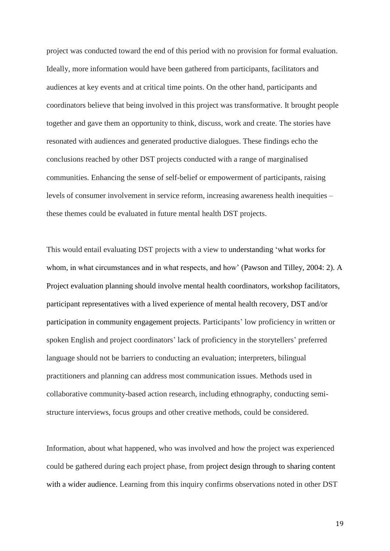project was conducted toward the end of this period with no provision for formal evaluation. Ideally, more information would have been gathered from participants, facilitators and audiences at key events and at critical time points. On the other hand, participants and coordinators believe that being involved in this project was transformative. It brought people together and gave them an opportunity to think, discuss, work and create. The stories have resonated with audiences and generated productive dialogues. These findings echo the conclusions reached by other DST projects conducted with a range of marginalised communities. Enhancing the sense of self-belief or empowerment of participants, raising levels of consumer involvement in service reform, increasing awareness health inequities – these themes could be evaluated in future mental health DST projects.

This would entail evaluating DST projects with a view to understanding 'what works for whom, in what circumstances and in what respects, and how' (Pawson and Tilley, 2004: 2). A Project evaluation planning should involve mental health coordinators, workshop facilitators, participant representatives with a lived experience of mental health recovery, DST and/or participation in community engagement projects. Participants' low proficiency in written or spoken English and project coordinators' lack of proficiency in the storytellers' preferred language should not be barriers to conducting an evaluation; interpreters, bilingual practitioners and planning can address most communication issues. Methods used in collaborative community-based action research, including ethnography, conducting semistructure interviews, focus groups and other creative methods, could be considered.

Information, about what happened, who was involved and how the project was experienced could be gathered during each project phase, from project design through to sharing content with a wider audience. Learning from this inquiry confirms observations noted in other DST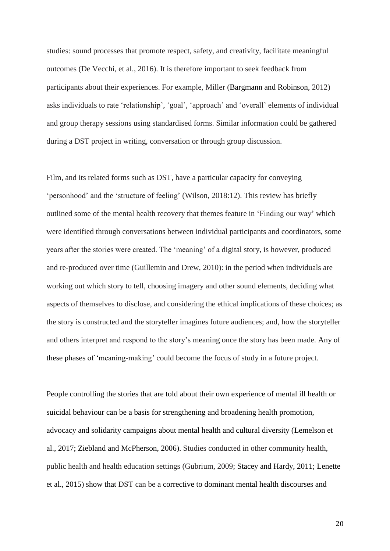studies: sound processes that promote respect, safety, and creativity, facilitate meaningful outcomes (De Vecchi, et al., 2016). It is therefore important to seek feedback from participants about their experiences. For example, Miller (Bargmann and Robinson, 2012) asks individuals to rate 'relationship', 'goal', 'approach' and 'overall' elements of individual and group therapy sessions using standardised forms. Similar information could be gathered during a DST project in writing, conversation or through group discussion.

Film, and its related forms such as DST, have a particular capacity for conveying 'personhood' and the 'structure of feeling' (Wilson, 2018:12). This review has briefly outlined some of the mental health recovery that themes feature in 'Finding our way' which were identified through conversations between individual participants and coordinators, some years after the stories were created. The 'meaning' of a digital story, is however, produced and re-produced over time (Guillemin and Drew, 2010): in the period when individuals are working out which story to tell, choosing imagery and other sound elements, deciding what aspects of themselves to disclose, and considering the ethical implications of these choices; as the story is constructed and the storyteller imagines future audiences; and, how the storyteller and others interpret and respond to the story's meaning once the story has been made. Any of these phases of 'meaning-making' could become the focus of study in a future project.

People controlling the stories that are told about their own experience of mental ill health or suicidal behaviour can be a basis for strengthening and broadening health promotion, advocacy and solidarity campaigns about mental health and cultural diversity (Lemelson et al., 2017; Ziebland and McPherson, 2006). Studies conducted in other community health, public health and health education settings (Gubrium, 2009; Stacey and Hardy, 2011; Lenette et al., 2015) show that DST can be a corrective to dominant mental health discourses and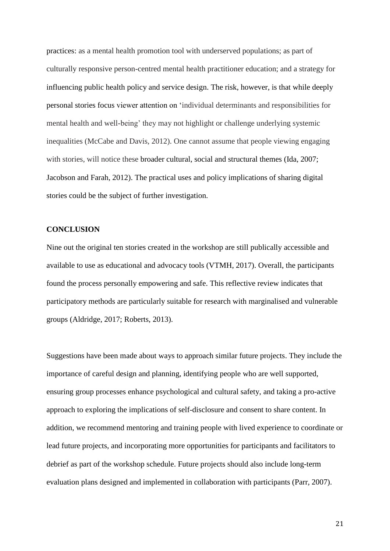practices: as a mental health promotion tool with underserved populations; as part of culturally responsive person-centred mental health practitioner education; and a strategy for influencing public health policy and service design. The risk, however, is that while deeply personal stories focus viewer attention on 'individual determinants and responsibilities for mental health and well-being' they may not highlight or challenge underlying systemic inequalities (McCabe and Davis, 2012). One cannot assume that people viewing engaging with stories, will notice these broader cultural, social and structural themes (Ida, 2007; Jacobson and Farah, 2012). The practical uses and policy implications of sharing digital stories could be the subject of further investigation.

## **CONCLUSION**

Nine out the original ten stories created in the workshop are still publically accessible and available to use as educational and advocacy tools (VTMH, 2017). Overall, the participants found the process personally empowering and safe. This reflective review indicates that participatory methods are particularly suitable for research with marginalised and vulnerable groups (Aldridge, 2017; Roberts, 2013).

Suggestions have been made about ways to approach similar future projects. They include the importance of careful design and planning, identifying people who are well supported, ensuring group processes enhance psychological and cultural safety, and taking a pro-active approach to exploring the implications of self-disclosure and consent to share content. In addition, we recommend mentoring and training people with lived experience to coordinate or lead future projects, and incorporating more opportunities for participants and facilitators to debrief as part of the workshop schedule. Future projects should also include long-term evaluation plans designed and implemented in collaboration with participants (Parr, 2007).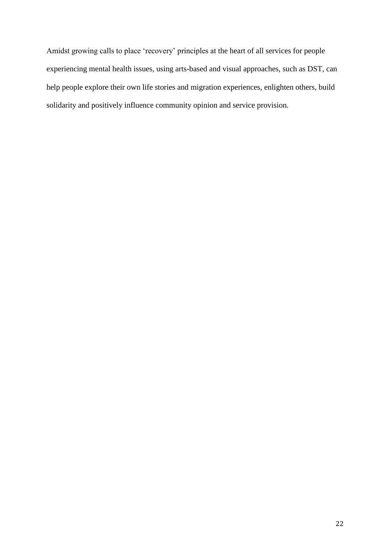Amidst growing calls to place 'recovery' principles at the heart of all services for people experiencing mental health issues, using arts-based and visual approaches, such as DST, can help people explore their own life stories and migration experiences, enlighten others, build solidarity and positively influence community opinion and service provision.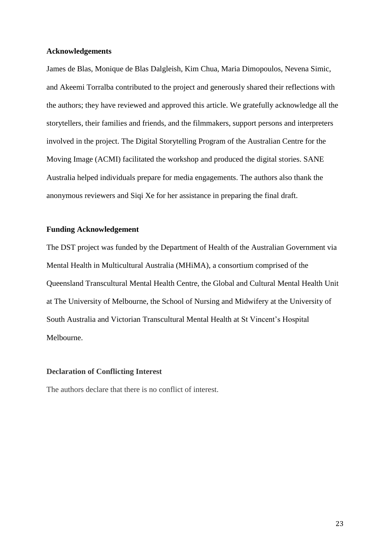## **Acknowledgements**

James de Blas, Monique de Blas Dalgleish, Kim Chua, Maria Dimopoulos, Nevena Simic, and Akeemi Torralba contributed to the project and generously shared their reflections with the authors; they have reviewed and approved this article. We gratefully acknowledge all the storytellers, their families and friends, and the filmmakers, support persons and interpreters involved in the project. The Digital Storytelling Program of the Australian Centre for the Moving Image (ACMI) facilitated the workshop and produced the digital stories. SANE Australia helped individuals prepare for media engagements. The authors also thank the anonymous reviewers and Siqi Xe for her assistance in preparing the final draft.

## **Funding Acknowledgement**

The DST project was funded by the Department of Health of the Australian Government via Mental Health in Multicultural Australia (MHiMA), a consortium comprised of the Queensland Transcultural Mental Health Centre, the Global and Cultural Mental Health Unit at The University of Melbourne, the School of Nursing and Midwifery at the University of South Australia and Victorian Transcultural Mental Health at St Vincent's Hospital Melbourne.

## **Declaration of Conflicting Interest**

The authors declare that there is no conflict of interest.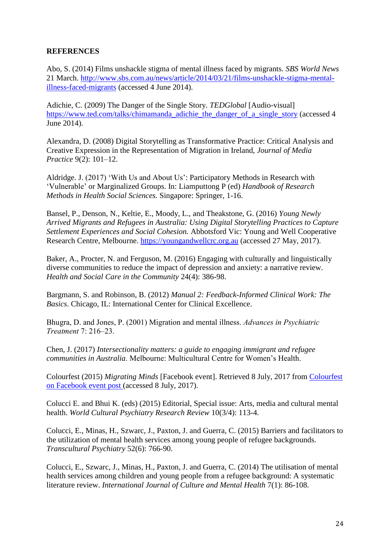# **REFERENCES**

Abo, S. (2014) Films unshackle stigma of mental illness faced by migrants. *SBS World News* 21 March. [http://www.sbs.com.au/news/article/2014/03/21/films-unshackle-stigma-mental](http://www.sbs.com.au/news/article/2014/03/21/films-unshackle-stigma-mental-illness-faced-migrants)[illness-faced-migrants](http://www.sbs.com.au/news/article/2014/03/21/films-unshackle-stigma-mental-illness-faced-migrants) (accessed 4 June 2014).

Adichie, C. (2009) The Danger of the Single Story. *TEDGlobal* [Audio-visual] [https://www.ted.com/talks/chimamanda\\_adichie\\_the\\_danger\\_of\\_a\\_single\\_story](https://www.ted.com/talks/chimamanda_adichie_the_danger_of_a_single_story) (accessed 4 June 2014).

Alexandra, D. (2008) Digital Storytelling as Transformative Practice: Critical Analysis and Creative Expression in the Representation of Migration in Ireland, *Journal of Media Practice* 9(2): 101–12.

Aldridge. J. (2017) 'With Us and About Us': Participatory Methods in Research with 'Vulnerable' or Marginalized Groups. In: Liamputtong P (ed) *Handbook of Research Methods in Health Social Sciences.* Singapore: Springer, 1-16.

Bansel, P., Denson, N., Keltie, E., Moody, L., and Theakstone, G. (2016) *Young Newly Arrived Migrants and Refugees in Australia: Using Digital Storytelling Practices to Capture Settlement Experiences and Social Cohesion.* Abbotsford Vic: Young and Well Cooperative Research Centre, Melbourne. [https://youngandwellcrc.org.au](https://youngandwellcrc.org.au/) (accessed 27 May, 2017).

Baker, A., Procter, N. and Ferguson, M. (2016) Engaging with culturally and linguistically diverse communities to reduce the impact of depression and anxiety: a narrative review. *Health and Social Care in the Community* 24(4): 386-98.

Bargmann, S. and Robinson, B. (2012) *Manual 2: Feedback-Informed Clinical Work: The Basics*. Chicago, IL: International Center for Clinical Excellence.

Bhugra, D. and Jones, P. (2001) Migration and mental illness. *Advances in Psychiatric Treatment* 7: 216–23.

Chen, J. (2017) *Intersectionality matters: a guide to engaging immigrant and refugee communities in Australia*. Melbourne: Multicultural Centre for Women's Health.

Colourfest (2015) *Migrating Minds* [Facebook event]. Retrieved 8 July, 2017 from [Colourfest](https://www.facebook.com/events/857798910946970/?acontext=%7B%22source%22%3A3%2C%22source_newsfeed_story_type%22%3A%22regular%22%2C%22action_history%22%3A%22%5B%7B%5C%22surface%5C%22%3A%5C%22newsfeed%5C%22%2C%5C%22mechanism%5C%22%3A%5C%22feed_story%5C%22%2C)  [on Facebook event post](https://www.facebook.com/events/857798910946970/?acontext=%7B%22source%22%3A3%2C%22source_newsfeed_story_type%22%3A%22regular%22%2C%22action_history%22%3A%22%5B%7B%5C%22surface%5C%22%3A%5C%22newsfeed%5C%22%2C%5C%22mechanism%5C%22%3A%5C%22feed_story%5C%22%2C) (accessed 8 July, 2017).

Colucci E. and Bhui K. (eds) (2015) Editorial, Special issue: Arts, media and cultural mental health. *World Cultural Psychiatry Research Review* 10(3/4): 113-4.

Colucci, E., Minas, H., Szwarc, J., Paxton, J. and Guerra, C. (2015) Barriers and facilitators to the utilization of mental health services among young people of refugee backgrounds. *Transcultural Psychiatry* 52(6): 766-90.

Colucci, E., Szwarc, J., Minas, H., Paxton, J. and Guerra, C. (2014) The utilisation of mental health services among children and young people from a refugee background: A systematic literature review. *International Journal of Culture and Mental Health* 7(1): 86-108.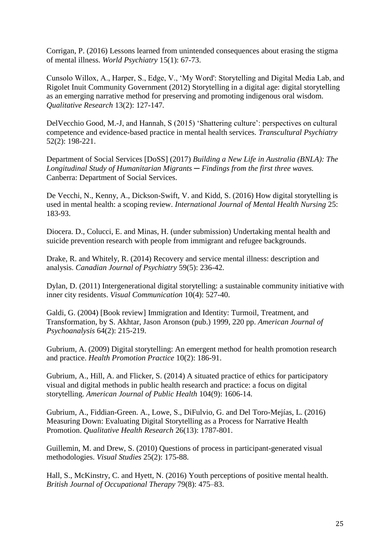Corrigan, P. (2016) Lessons learned from unintended consequences about erasing the stigma of mental illness. *World Psychiatry* 15(1): 67-73.

Cunsolo Willox, A., Harper, S., Edge, V., 'My Word': Storytelling and Digital Media Lab, and Rigolet Inuit Community Government (2012) Storytelling in a digital age: digital storytelling as an emerging narrative method for preserving and promoting indigenous oral wisdom. *Qualitative Research* 13(2): 127-147*.* 

DelVecchio Good, M.-J, and Hannah, S (2015) 'Shattering culture': perspectives on cultural competence and evidence-based practice in mental health services. *Transcultural Psychiatry*  52(2): 198-221.

Department of Social Services [DoSS] (2017) *Building a New Life in Australia (BNLA): The Longitudinal Study of Humanitarian Migrants* ─ *Findings from the first three waves.*  Canberra: Department of Social Services.

De Vecchi, N., Kenny, A., Dickson-Swift, V. and Kidd, S. (2016) How digital storytelling is used in mental health: a scoping review. *International Journal of Mental Health Nursing* 25: 183-93.

Diocera. D., Colucci, E. and Minas, H. (under submission) Undertaking mental health and suicide prevention research with people from immigrant and refugee backgrounds.

Drake, R. and Whitely, R. (2014) Recovery and service mental illness: description and analysis. *Canadian Journal of Psychiatry* 59(5): 236-42.

Dylan, D. (2011) Intergenerational digital storytelling: a sustainable community initiative with inner city residents. *Visual Communication* 10(4): 527-40.

Galdi, G. (2004) [Book review] Immigration and Identity: Turmoil, Treatment, and Transformation, by S. Akhtar, Jason Aronson (pub.) 1999, 220 pp. *American Journal of Psychoanalysis* 64(2): 215-219.

Gubrium, A. (2009) Digital storytelling: An emergent method for health promotion research and practice. *Health Promotion Practice* 10(2): 186-91.

Gubrium, A., Hill, A. and Flicker, S. (2014) A situated practice of ethics for participatory visual and digital methods in public health research and practice: a focus on digital storytelling. *American Journal of Public Health* 104(9): 1606-14.

Gubrium, A., Fiddian-Green. A., Lowe, S., DiFulvio, G. and Del Toro-Mejías, L. (2016) Measuring Down: Evaluating Digital Storytelling as a Process for Narrative Health Promotion. *Qualitative Health Research* 26(13): 1787-801.

Guillemin, M. and Drew, S. (2010) Questions of process in participant-generated visual methodologies. *Visual Studies* 25(2): 175-88.

Hall, S., McKinstry, C. and Hyett, N. (2016) Youth perceptions of positive mental health. *British Journal of Occupational Therapy* 79(8): 475–83.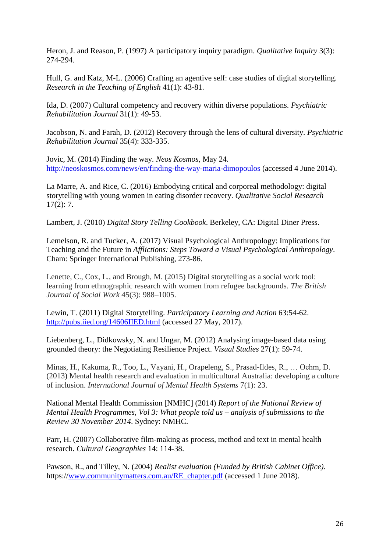Heron, J. and Reason, P. (1997) A participatory inquiry paradigm. *Qualitative Inquiry* 3(3): 274-294.

Hull, G. and Katz, M-L. (2006) Crafting an agentive self: case studies of digital storytelling. *Research in the Teaching of English* 41(1): 43-81.

Ida, D. (2007) Cultural competency and recovery within diverse populations. *Psychiatric Rehabilitation Journal* 31(1): 49-53.

Jacobson, N. and Farah, D. (2012) Recovery through the lens of cultural diversity. *Psychiatric Rehabilitation Journal* 35(4): 333-335.

Jovic, M. (2014) Finding the way. *Neos Kosmos,* May 24. <http://neoskosmos.com/news/en/finding-the-way-maria-dimopoulos> (accessed 4 June 2014).

La Marre, A. and Rice, C. (2016) Embodying critical and corporeal methodology: digital storytelling with young women in eating disorder recovery. *Qualitative Social Research*  $17(2): 7.$ 

Lambert, J. (2010) *Digital Story Telling Cookbook*. Berkeley, CA: Digital Diner Press.

Lemelson, R. and Tucker, A. (2017) Visual Psychological Anthropology: Implications for Teaching and the Future in *Afflictions: Steps Toward a Visual Psychological Anthropology*. Cham: Springer International Publishing, 273-86.

Lenette, C., Cox, L., and Brough, M. (2015) Digital storytelling as a social work tool: learning from ethnographic research with women from refugee backgrounds. *The British Journal of Social Work* 45(3): 988–1005.

Lewin, T. (2011) Digital Storytelling. *Participatory Learning and Action* 63:54-62. <http://pubs.iied.org/14606IIED.html> (accessed 27 May, 2017).

Liebenberg, L., Didkowsky, N. and Ungar, M. (2012) Analysing image-based data using grounded theory: the Negotiating Resilience Project. *Visual Studies* 27(1): 59-74.

Minas, H., Kakuma, R., Too, L., Vayani, H., Orapeleng, S., Prasad-Ildes, R., … Oehm, D. (2013) Mental health research and evaluation in multicultural Australia: developing a culture of inclusion. *International Journal of Mental Health Systems* 7(1): 23.

National Mental Health Commission [NMHC] (2014) *Report of the National Review of Mental Health Programmes, Vol 3: What people told us – analysis of submissions to the Review 30 November 2014*. Sydney: NMHC.

Parr, H. (2007) Collaborative film-making as process, method and text in mental health research. *Cultural Geographies* 14: 114-38.

Pawson, R., and Tilley, N. (2004) *Realist evaluation (Funded by British Cabinet Office)*. https:/[/www.communitymatters.com.au/RE\\_chapter.pdf](http://www.communitymatters.com.au/RE_chapter.pdf) (accessed 1 June 2018).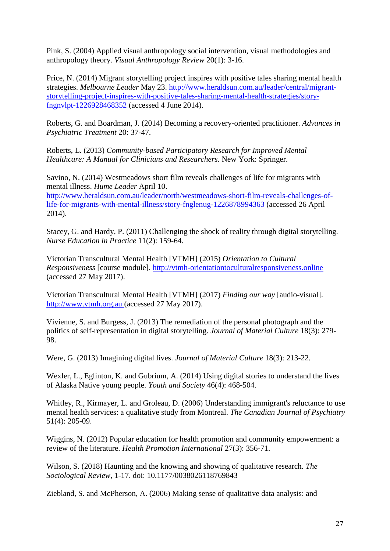Pink, S. (2004) Applied visual anthropology social intervention, visual methodologies and anthropology theory. *Visual Anthropology Review* 20(1): 3-16.

Price, N. (2014) Migrant storytelling project inspires with positive tales sharing mental health strategies. *Melbourne Leader* May 23. [http://www.heraldsun.com.au/leader/central/migrant](http://www.heraldsun.com.au/leader/central/migrant-storytelling-project-inspires-with-positive-tales-sharing-mental-health-strategies/story-fngnvlpt-1226928468352)[storytelling-project-inspires-with-positive-tales-sharing-mental-health-strategies/story](http://www.heraldsun.com.au/leader/central/migrant-storytelling-project-inspires-with-positive-tales-sharing-mental-health-strategies/story-fngnvlpt-1226928468352)[fngnvlpt-1226928468352](http://www.heraldsun.com.au/leader/central/migrant-storytelling-project-inspires-with-positive-tales-sharing-mental-health-strategies/story-fngnvlpt-1226928468352) (accessed 4 June 2014).

Roberts, G. and Boardman, J. (2014) Becoming a recovery-oriented practitioner. *Advances in Psychiatric Treatment* 20: 37-47.

Roberts, L. (2013) *Community-based Participatory Research for Improved Mental Healthcare: A Manual for Clinicians and Researchers.* New York: Springer.

Savino, N. (2014) Westmeadows short film reveals challenges of life for migrants with mental illness. *Hume Leader* April 10.

[http://www.heraldsun.com.au/leader/north/westmeadows-short-film-reveals-challenges-of](http://www.heraldsun.com.au/leader/north/westmeadows-short-film-reveals-challenges-of-life-for-migrants-with-mental-illness/story-fnglenug-1226878994363)[life-for-migrants-with-mental-illness/story-fnglenug-1226878994363](http://www.heraldsun.com.au/leader/north/westmeadows-short-film-reveals-challenges-of-life-for-migrants-with-mental-illness/story-fnglenug-1226878994363) (accessed 26 April 2014).

Stacey, G. and Hardy, P. (2011) Challenging the shock of reality through digital storytelling. *Nurse Education in Practice* 11(2): 159-64.

Victorian Transcultural Mental Health [VTMH] (2015) *Orientation to Cultural Responsiveness* [course module]. [http://vtmh-orientationtoculturalresponsiveness.online](http://vtmh-orientationtoculturalresponsiveness.online/) (accessed 27 May 2017).

Victorian Transcultural Mental Health [VTMH] (2017) *Finding our way* [audio-visual]. [http://www.vtmh.org.au](http://www.vtmh.org.au/) (accessed 27 May 2017).

Vivienne, S. and Burgess, J. (2013) The remediation of the personal photograph and the politics of self-representation in digital storytelling. *Journal of Material Culture* 18(3): 279- 98.

Were, G. (2013) Imagining digital lives. *Journal of Material Culture* 18(3): 213-22.

Wexler, L., Eglinton, K. and Gubrium, A. (2014) Using digital stories to understand the lives of Alaska Native young people. *Youth and Society* 46(4): 468-504.

Whitley, R., Kirmayer, L. and Groleau, D. (2006) Understanding immigrant's reluctance to use mental health services: a qualitative study from Montreal. *The Canadian Journal of Psychiatry* 51(4): 205-09.

Wiggins, N. (2012) Popular education for health promotion and community empowerment: a review of the literature. *Health Promotion International* 27(3): 356-71.

Wilson, S. (2018) Haunting and the knowing and showing of qualitative research. *The Sociological Review*, 1-17. doi: 10.1177/0038026118769843

Ziebland, S. and McPherson, A. (2006) Making sense of qualitative data analysis: and